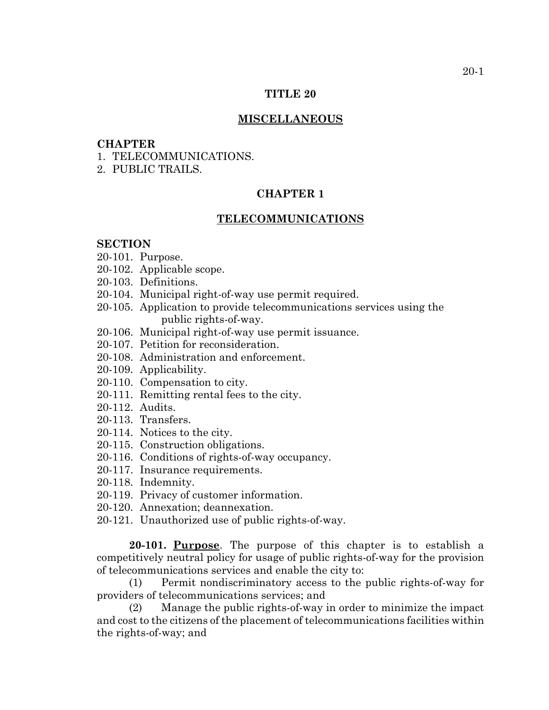# **TITLE 20**

# **MISCELLANEOUS**

# **CHAPTER**

- 1. TELECOMMUNICATIONS.
- 2. PUBLIC TRAILS.

# **CHAPTER 1**

#### **TELECOMMUNICATIONS**

#### **SECTION**

- 20-101. Purpose.
- 20-102. Applicable scope.
- 20-103. Definitions.
- 20-104. Municipal right-of-way use permit required.
- 20-105. Application to provide telecommunications services using the public rights-of-way.
- 20-106. Municipal right-of-way use permit issuance.
- 20-107. Petition for reconsideration.
- 20-108. Administration and enforcement.
- 20-109. Applicability.
- 20-110. Compensation to city.
- 20-111. Remitting rental fees to the city.
- 20-112. Audits.
- 20-113. Transfers.
- 20-114. Notices to the city.
- 20-115. Construction obligations.
- 20-116. Conditions of rights-of-way occupancy.
- 20-117. Insurance requirements.
- 20-118. Indemnity.
- 20-119. Privacy of customer information.
- 20-120. Annexation; deannexation.
- 20-121. Unauthorized use of public rights-of-way.

**20-101. Purpose**. The purpose of this chapter is to establish a competitively neutral policy for usage of public rights-of-way for the provision of telecommunications services and enable the city to:

(1) Permit nondiscriminatory access to the public rights-of-way for providers of telecommunications services; and

(2) Manage the public rights-of-way in order to minimize the impact and cost to the citizens of the placement of telecommunications facilities within the rights-of-way; and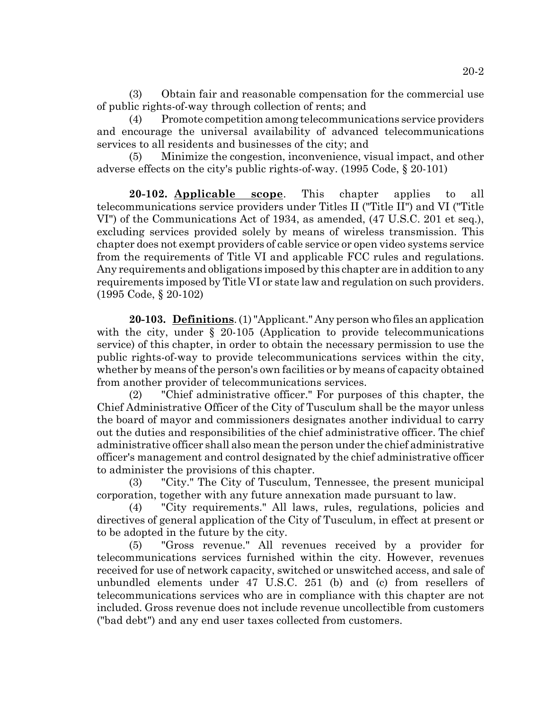(3) Obtain fair and reasonable compensation for the commercial use of public rights-of-way through collection of rents; and

(4) Promote competition among telecommunications service providers and encourage the universal availability of advanced telecommunications services to all residents and businesses of the city; and

(5) Minimize the congestion, inconvenience, visual impact, and other adverse effects on the city's public rights-of-way. (1995 Code, § 20-101)

**20-102. Applicable scope**. This chapter applies to all telecommunications service providers under Titles II ("Title II") and VI ("Title VI") of the Communications Act of 1934, as amended, (47 U.S.C. 201 et seq.), excluding services provided solely by means of wireless transmission. This chapter does not exempt providers of cable service or open video systems service from the requirements of Title VI and applicable FCC rules and regulations. Any requirements and obligations imposed by this chapter are in addition to any requirements imposed by Title VI or state law and regulation on such providers. (1995 Code, § 20-102)

**20-103. Definitions**. (1) "Applicant." Any person who files an application with the city, under § 20-105 (Application to provide telecommunications service) of this chapter, in order to obtain the necessary permission to use the public rights-of-way to provide telecommunications services within the city, whether by means of the person's own facilities or by means of capacity obtained from another provider of telecommunications services.

(2) "Chief administrative officer." For purposes of this chapter, the Chief Administrative Officer of the City of Tusculum shall be the mayor unless the board of mayor and commissioners designates another individual to carry out the duties and responsibilities of the chief administrative officer. The chief administrative officer shall also mean the person under the chief administrative officer's management and control designated by the chief administrative officer to administer the provisions of this chapter.

(3) "City." The City of Tusculum, Tennessee, the present municipal corporation, together with any future annexation made pursuant to law.

(4) "City requirements." All laws, rules, regulations, policies and directives of general application of the City of Tusculum, in effect at present or to be adopted in the future by the city.

(5) "Gross revenue." All revenues received by a provider for telecommunications services furnished within the city. However, revenues received for use of network capacity, switched or unswitched access, and sale of unbundled elements under 47 U.S.C. 251 (b) and (c) from resellers of telecommunications services who are in compliance with this chapter are not included. Gross revenue does not include revenue uncollectible from customers ("bad debt") and any end user taxes collected from customers.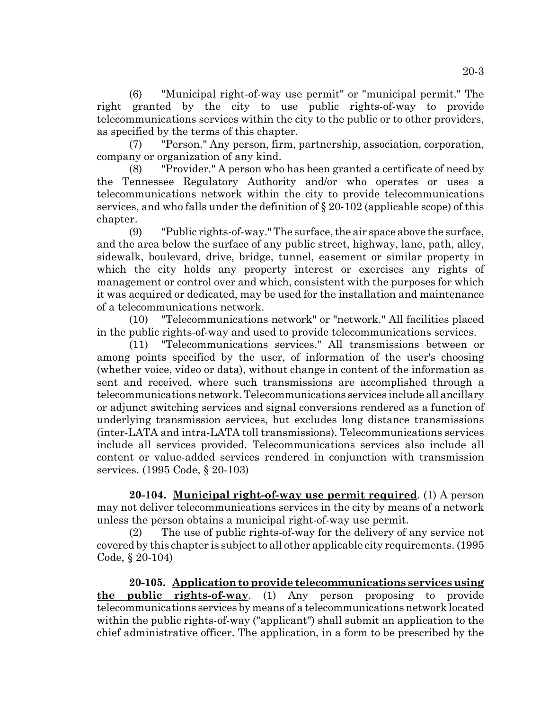(6) "Municipal right-of-way use permit" or "municipal permit." The right granted by the city to use public rights-of-way to provide telecommunications services within the city to the public or to other providers, as specified by the terms of this chapter.

(7) "Person." Any person, firm, partnership, association, corporation, company or organization of any kind.

(8) "Provider." A person who has been granted a certificate of need by the Tennessee Regulatory Authority and/or who operates or uses a telecommunications network within the city to provide telecommunications services, and who falls under the definition of § 20-102 (applicable scope) of this chapter.

(9) "Public rights-of-way." The surface, the air space above the surface, and the area below the surface of any public street, highway, lane, path, alley, sidewalk, boulevard, drive, bridge, tunnel, easement or similar property in which the city holds any property interest or exercises any rights of management or control over and which, consistent with the purposes for which it was acquired or dedicated, may be used for the installation and maintenance of a telecommunications network.

(10) "Telecommunications network" or "network." All facilities placed in the public rights-of-way and used to provide telecommunications services.

(11) "Telecommunications services." All transmissions between or among points specified by the user, of information of the user's choosing (whether voice, video or data), without change in content of the information as sent and received, where such transmissions are accomplished through a telecommunications network. Telecommunications services include all ancillary or adjunct switching services and signal conversions rendered as a function of underlying transmission services, but excludes long distance transmissions (inter-LATA and intra-LATA toll transmissions). Telecommunications services include all services provided. Telecommunications services also include all content or value-added services rendered in conjunction with transmission services. (1995 Code, § 20-103)

**20-104. Municipal right-of-way use permit required**. (1) A person may not deliver telecommunications services in the city by means of a network unless the person obtains a municipal right-of-way use permit.

(2) The use of public rights-of-way for the delivery of any service not covered by this chapter is subject to all other applicable city requirements. (1995 Code, § 20-104)

**20-105. Application to provide telecommunications services using the public rights-of-way**. (1) Any person proposing to provide telecommunications services by means of a telecommunications network located within the public rights-of-way ("applicant") shall submit an application to the chief administrative officer. The application, in a form to be prescribed by the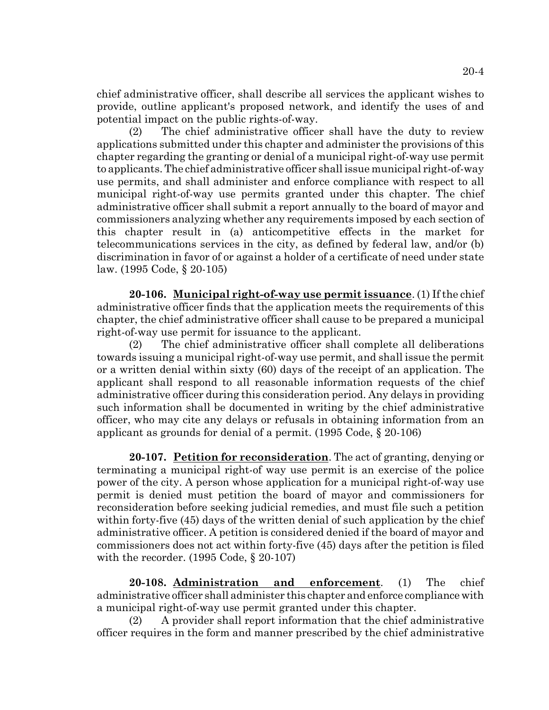chief administrative officer, shall describe all services the applicant wishes to provide, outline applicant's proposed network, and identify the uses of and potential impact on the public rights-of-way.

(2) The chief administrative officer shall have the duty to review applications submitted under this chapter and administer the provisions of this chapter regarding the granting or denial of a municipal right-of-way use permit to applicants. The chief administrative officer shall issue municipal right-of-way use permits, and shall administer and enforce compliance with respect to all municipal right-of-way use permits granted under this chapter. The chief administrative officer shall submit a report annually to the board of mayor and commissioners analyzing whether any requirements imposed by each section of this chapter result in (a) anticompetitive effects in the market for telecommunications services in the city, as defined by federal law, and/or (b) discrimination in favor of or against a holder of a certificate of need under state law. (1995 Code, § 20-105)

**20-106. Municipal right-of-way use permit issuance**. (1) If the chief administrative officer finds that the application meets the requirements of this chapter, the chief administrative officer shall cause to be prepared a municipal right-of-way use permit for issuance to the applicant.

(2) The chief administrative officer shall complete all deliberations towards issuing a municipal right-of-way use permit, and shall issue the permit or a written denial within sixty (60) days of the receipt of an application. The applicant shall respond to all reasonable information requests of the chief administrative officer during this consideration period. Any delays in providing such information shall be documented in writing by the chief administrative officer, who may cite any delays or refusals in obtaining information from an applicant as grounds for denial of a permit. (1995 Code, § 20-106)

**20-107. Petition for reconsideration**. The act of granting, denying or terminating a municipal right-of way use permit is an exercise of the police power of the city. A person whose application for a municipal right-of-way use permit is denied must petition the board of mayor and commissioners for reconsideration before seeking judicial remedies, and must file such a petition within forty-five (45) days of the written denial of such application by the chief administrative officer. A petition is considered denied if the board of mayor and commissioners does not act within forty-five (45) days after the petition is filed with the recorder. (1995 Code, § 20-107)

**20-108. Administration and enforcement**. (1) The chief administrative officer shall administer this chapter and enforce compliance with a municipal right-of-way use permit granted under this chapter.

(2) A provider shall report information that the chief administrative officer requires in the form and manner prescribed by the chief administrative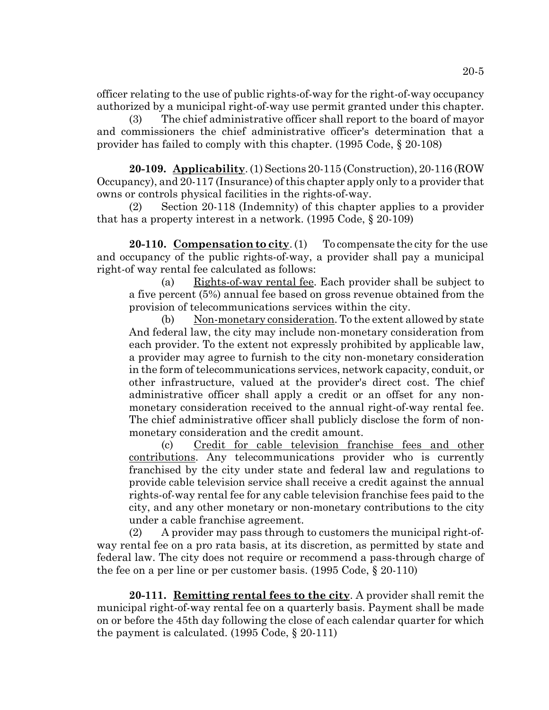officer relating to the use of public rights-of-way for the right-of-way occupancy authorized by a municipal right-of-way use permit granted under this chapter.

(3) The chief administrative officer shall report to the board of mayor and commissioners the chief administrative officer's determination that a provider has failed to comply with this chapter. (1995 Code, § 20-108)

**20-109. Applicability**. (1) Sections 20-115 (Construction), 20-116 (ROW Occupancy), and 20-117 (Insurance) of this chapter apply only to a provider that owns or controls physical facilities in the rights-of-way.

(2) Section 20-118 (Indemnity) of this chapter applies to a provider that has a property interest in a network. (1995 Code, § 20-109)

**20-110. Compensation to city**. (1) To compensate the city for the use and occupancy of the public rights-of-way, a provider shall pay a municipal right-of way rental fee calculated as follows:

(a) Rights-of-way rental fee. Each provider shall be subject to a five percent (5%) annual fee based on gross revenue obtained from the provision of telecommunications services within the city.

(b) Non-monetary consideration. To the extent allowed by state And federal law, the city may include non-monetary consideration from each provider. To the extent not expressly prohibited by applicable law, a provider may agree to furnish to the city non-monetary consideration in the form of telecommunications services, network capacity, conduit, or other infrastructure, valued at the provider's direct cost. The chief administrative officer shall apply a credit or an offset for any nonmonetary consideration received to the annual right-of-way rental fee. The chief administrative officer shall publicly disclose the form of nonmonetary consideration and the credit amount.

(c) Credit for cable television franchise fees and other contributions. Any telecommunications provider who is currently franchised by the city under state and federal law and regulations to provide cable television service shall receive a credit against the annual rights-of-way rental fee for any cable television franchise fees paid to the city, and any other monetary or non-monetary contributions to the city under a cable franchise agreement.

(2) A provider may pass through to customers the municipal right-ofway rental fee on a pro rata basis, at its discretion, as permitted by state and federal law. The city does not require or recommend a pass-through charge of the fee on a per line or per customer basis. (1995 Code, § 20-110)

**20-111. Remitting rental fees to the city**. A provider shall remit the municipal right-of-way rental fee on a quarterly basis. Payment shall be made on or before the 45th day following the close of each calendar quarter for which the payment is calculated. (1995 Code, § 20-111)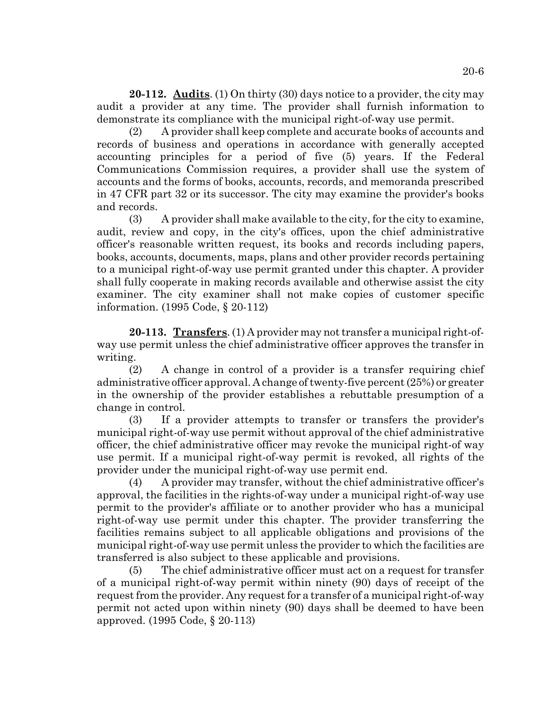**20-112. Audits**. (1) On thirty (30) days notice to a provider, the city may audit a provider at any time. The provider shall furnish information to demonstrate its compliance with the municipal right-of-way use permit.

(2) A provider shall keep complete and accurate books of accounts and records of business and operations in accordance with generally accepted accounting principles for a period of five (5) years. If the Federal Communications Commission requires, a provider shall use the system of accounts and the forms of books, accounts, records, and memoranda prescribed in 47 CFR part 32 or its successor. The city may examine the provider's books and records.

(3) A provider shall make available to the city, for the city to examine, audit, review and copy, in the city's offices, upon the chief administrative officer's reasonable written request, its books and records including papers, books, accounts, documents, maps, plans and other provider records pertaining to a municipal right-of-way use permit granted under this chapter. A provider shall fully cooperate in making records available and otherwise assist the city examiner. The city examiner shall not make copies of customer specific information. (1995 Code, § 20-112)

**20-113. Transfers**. (1) A provider may not transfer a municipal right-ofway use permit unless the chief administrative officer approves the transfer in writing.

(2) A change in control of a provider is a transfer requiring chief administrative officer approval. A change of twenty-five percent (25%) or greater in the ownership of the provider establishes a rebuttable presumption of a change in control.

(3) If a provider attempts to transfer or transfers the provider's municipal right-of-way use permit without approval of the chief administrative officer, the chief administrative officer may revoke the municipal right-of way use permit. If a municipal right-of-way permit is revoked, all rights of the provider under the municipal right-of-way use permit end.

(4) A provider may transfer, without the chief administrative officer's approval, the facilities in the rights-of-way under a municipal right-of-way use permit to the provider's affiliate or to another provider who has a municipal right-of-way use permit under this chapter. The provider transferring the facilities remains subject to all applicable obligations and provisions of the municipal right-of-way use permit unless the provider to which the facilities are transferred is also subject to these applicable and provisions.

(5) The chief administrative officer must act on a request for transfer of a municipal right-of-way permit within ninety (90) days of receipt of the request from the provider. Any request for a transfer of a municipal right-of-way permit not acted upon within ninety (90) days shall be deemed to have been approved. (1995 Code, § 20-113)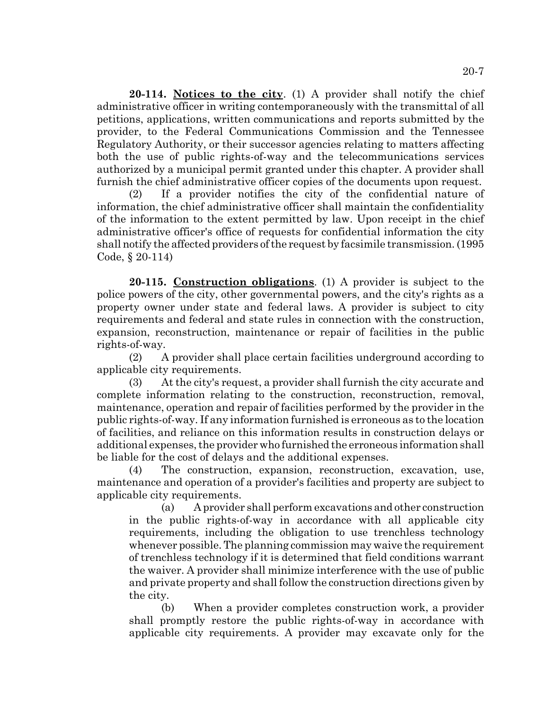**20-114. Notices to the city**. (1) A provider shall notify the chief administrative officer in writing contemporaneously with the transmittal of all petitions, applications, written communications and reports submitted by the provider, to the Federal Communications Commission and the Tennessee Regulatory Authority, or their successor agencies relating to matters affecting both the use of public rights-of-way and the telecommunications services authorized by a municipal permit granted under this chapter. A provider shall furnish the chief administrative officer copies of the documents upon request.

(2) If a provider notifies the city of the confidential nature of information, the chief administrative officer shall maintain the confidentiality of the information to the extent permitted by law. Upon receipt in the chief administrative officer's office of requests for confidential information the city shall notify the affected providers of the request by facsimile transmission. (1995 Code, § 20-114)

**20-115. Construction obligations**. (1) A provider is subject to the police powers of the city, other governmental powers, and the city's rights as a property owner under state and federal laws. A provider is subject to city requirements and federal and state rules in connection with the construction, expansion, reconstruction, maintenance or repair of facilities in the public rights-of-way.

(2) A provider shall place certain facilities underground according to applicable city requirements.

(3) At the city's request, a provider shall furnish the city accurate and complete information relating to the construction, reconstruction, removal, maintenance, operation and repair of facilities performed by the provider in the public rights-of-way. If any information furnished is erroneous as to the location of facilities, and reliance on this information results in construction delays or additional expenses, the provider who furnished the erroneous information shall be liable for the cost of delays and the additional expenses.

(4) The construction, expansion, reconstruction, excavation, use, maintenance and operation of a provider's facilities and property are subject to applicable city requirements.

(a) A provider shall perform excavations and other construction in the public rights-of-way in accordance with all applicable city requirements, including the obligation to use trenchless technology whenever possible. The planning commission may waive the requirement of trenchless technology if it is determined that field conditions warrant the waiver. A provider shall minimize interference with the use of public and private property and shall follow the construction directions given by the city.

(b) When a provider completes construction work, a provider shall promptly restore the public rights-of-way in accordance with applicable city requirements. A provider may excavate only for the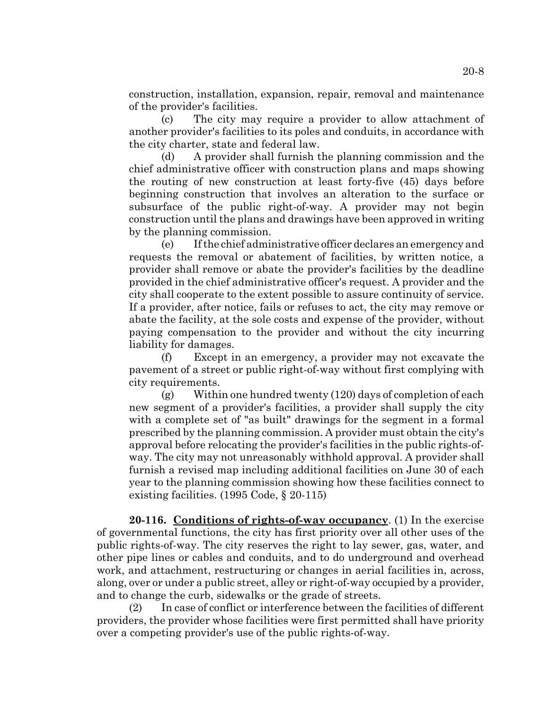construction, installation, expansion, repair, removal and maintenance of the provider's facilities.

(c) The city may require a provider to allow attachment of another provider's facilities to its poles and conduits, in accordance with the city charter, state and federal law.

(d) A provider shall furnish the planning commission and the chief administrative officer with construction plans and maps showing the routing of new construction at least forty-five (45) days before beginning construction that involves an alteration to the surface or subsurface of the public right-of-way. A provider may not begin construction until the plans and drawings have been approved in writing by the planning commission.

(e) If the chief administrative officer declares an emergency and requests the removal or abatement of facilities, by written notice, a provider shall remove or abate the provider's facilities by the deadline provided in the chief administrative officer's request. A provider and the city shall cooperate to the extent possible to assure continuity of service. If a provider, after notice, fails or refuses to act, the city may remove or abate the facility, at the sole costs and expense of the provider, without paying compensation to the provider and without the city incurring liability for damages.

(f) Except in an emergency, a provider may not excavate the pavement of a street or public right-of-way without first complying with city requirements.

(g) Within one hundred twenty (120) days of completion of each new segment of a provider's facilities, a provider shall supply the city with a complete set of "as built" drawings for the segment in a formal prescribed by the planning commission. A provider must obtain the city's approval before relocating the provider's facilities in the public rights-ofway. The city may not unreasonably withhold approval. A provider shall furnish a revised map including additional facilities on June 30 of each year to the planning commission showing how these facilities connect to existing facilities. (1995 Code, § 20-115)

**20-116. Conditions of rights-of-way occupancy**. (1) In the exercise of governmental functions, the city has first priority over all other uses of the public rights-of-way. The city reserves the right to lay sewer, gas, water, and other pipe lines or cables and conduits, and to do underground and overhead work, and attachment, restructuring or changes in aerial facilities in, across, along, over or under a public street, alley or right-of-way occupied by a provider, and to change the curb, sidewalks or the grade of streets.

(2) In case of conflict or interference between the facilities of different providers, the provider whose facilities were first permitted shall have priority over a competing provider's use of the public rights-of-way.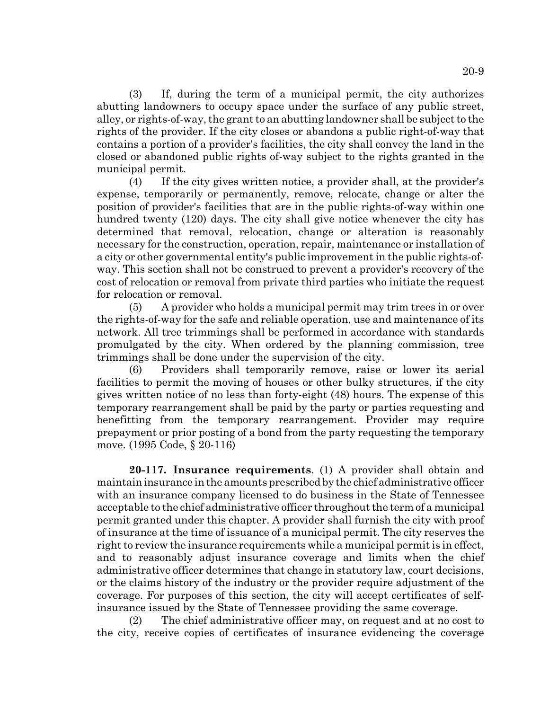(3) If, during the term of a municipal permit, the city authorizes abutting landowners to occupy space under the surface of any public street, alley, or rights-of-way, the grant to an abutting landowner shall be subject to the rights of the provider. If the city closes or abandons a public right-of-way that contains a portion of a provider's facilities, the city shall convey the land in the closed or abandoned public rights of-way subject to the rights granted in the municipal permit.

(4) If the city gives written notice, a provider shall, at the provider's expense, temporarily or permanently, remove, relocate, change or alter the position of provider's facilities that are in the public rights-of-way within one hundred twenty (120) days. The city shall give notice whenever the city has determined that removal, relocation, change or alteration is reasonably necessary for the construction, operation, repair, maintenance or installation of a city or other governmental entity's public improvement in the public rights-ofway. This section shall not be construed to prevent a provider's recovery of the cost of relocation or removal from private third parties who initiate the request for relocation or removal.

(5) A provider who holds a municipal permit may trim trees in or over the rights-of-way for the safe and reliable operation, use and maintenance of its network. All tree trimmings shall be performed in accordance with standards promulgated by the city. When ordered by the planning commission, tree trimmings shall be done under the supervision of the city.

(6) Providers shall temporarily remove, raise or lower its aerial facilities to permit the moving of houses or other bulky structures, if the city gives written notice of no less than forty-eight (48) hours. The expense of this temporary rearrangement shall be paid by the party or parties requesting and benefitting from the temporary rearrangement. Provider may require prepayment or prior posting of a bond from the party requesting the temporary move. (1995 Code, § 20-116)

**20-117. Insurance requirements**. (1) A provider shall obtain and maintain insurance in the amounts prescribed by the chief administrative officer with an insurance company licensed to do business in the State of Tennessee acceptable to the chief administrative officer throughout the term of a municipal permit granted under this chapter. A provider shall furnish the city with proof of insurance at the time of issuance of a municipal permit. The city reserves the right to review the insurance requirements while a municipal permit is in effect, and to reasonably adjust insurance coverage and limits when the chief administrative officer determines that change in statutory law, court decisions, or the claims history of the industry or the provider require adjustment of the coverage. For purposes of this section, the city will accept certificates of selfinsurance issued by the State of Tennessee providing the same coverage.

(2) The chief administrative officer may, on request and at no cost to the city, receive copies of certificates of insurance evidencing the coverage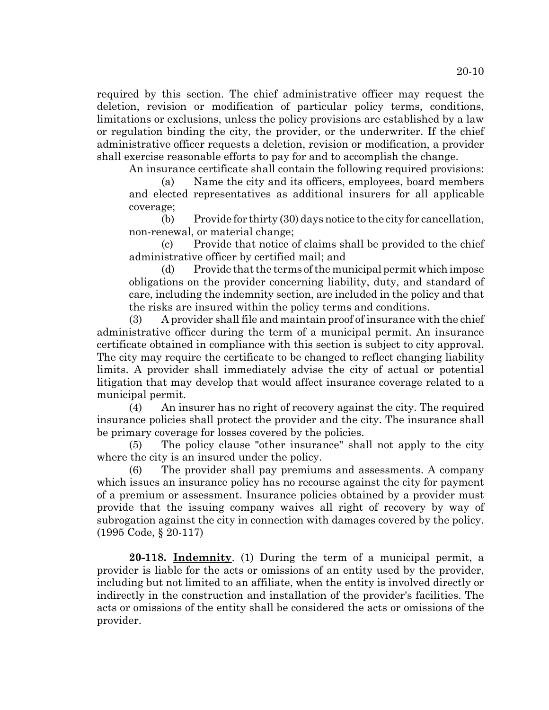required by this section. The chief administrative officer may request the deletion, revision or modification of particular policy terms, conditions, limitations or exclusions, unless the policy provisions are established by a law or regulation binding the city, the provider, or the underwriter. If the chief administrative officer requests a deletion, revision or modification, a provider shall exercise reasonable efforts to pay for and to accomplish the change.

An insurance certificate shall contain the following required provisions:

(a) Name the city and its officers, employees, board members and elected representatives as additional insurers for all applicable coverage;

(b) Provide for thirty (30) days notice to the city for cancellation, non-renewal, or material change;

(c) Provide that notice of claims shall be provided to the chief administrative officer by certified mail; and

(d) Provide that the terms of the municipal permit which impose obligations on the provider concerning liability, duty, and standard of care, including the indemnity section, are included in the policy and that the risks are insured within the policy terms and conditions.

(3) A provider shall file and maintain proof of insurance with the chief administrative officer during the term of a municipal permit. An insurance certificate obtained in compliance with this section is subject to city approval. The city may require the certificate to be changed to reflect changing liability limits. A provider shall immediately advise the city of actual or potential litigation that may develop that would affect insurance coverage related to a municipal permit.

(4) An insurer has no right of recovery against the city. The required insurance policies shall protect the provider and the city. The insurance shall be primary coverage for losses covered by the policies.

(5) The policy clause "other insurance" shall not apply to the city where the city is an insured under the policy.

(6) The provider shall pay premiums and assessments. A company which issues an insurance policy has no recourse against the city for payment of a premium or assessment. Insurance policies obtained by a provider must provide that the issuing company waives all right of recovery by way of subrogation against the city in connection with damages covered by the policy. (1995 Code, § 20-117)

**20-118. Indemnity**. (1) During the term of a municipal permit, a provider is liable for the acts or omissions of an entity used by the provider, including but not limited to an affiliate, when the entity is involved directly or indirectly in the construction and installation of the provider's facilities. The acts or omissions of the entity shall be considered the acts or omissions of the provider.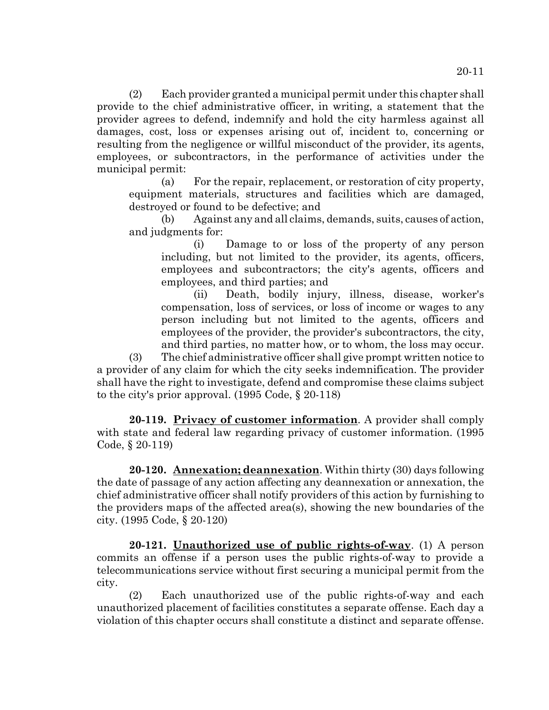(2) Each provider granted a municipal permit under this chapter shall provide to the chief administrative officer, in writing, a statement that the provider agrees to defend, indemnify and hold the city harmless against all damages, cost, loss or expenses arising out of, incident to, concerning or resulting from the negligence or willful misconduct of the provider, its agents, employees, or subcontractors, in the performance of activities under the municipal permit:

(a) For the repair, replacement, or restoration of city property, equipment materials, structures and facilities which are damaged, destroyed or found to be defective; and

(b) Against any and all claims, demands, suits, causes of action, and judgments for:

(i) Damage to or loss of the property of any person including, but not limited to the provider, its agents, officers, employees and subcontractors; the city's agents, officers and employees, and third parties; and

(ii) Death, bodily injury, illness, disease, worker's compensation, loss of services, or loss of income or wages to any person including but not limited to the agents, officers and employees of the provider, the provider's subcontractors, the city, and third parties, no matter how, or to whom, the loss may occur.

(3) The chief administrative officer shall give prompt written notice to a provider of any claim for which the city seeks indemnification. The provider shall have the right to investigate, defend and compromise these claims subject to the city's prior approval. (1995 Code, § 20-118)

**20-119. Privacy of customer information**. A provider shall comply with state and federal law regarding privacy of customer information. (1995 Code, § 20-119)

**20-120. Annexation; deannexation**. Within thirty (30) days following the date of passage of any action affecting any deannexation or annexation, the chief administrative officer shall notify providers of this action by furnishing to the providers maps of the affected area(s), showing the new boundaries of the city. (1995 Code, § 20-120)

**20-121. Unauthorized use of public rights-of-way**. (1) A person commits an offense if a person uses the public rights-of-way to provide a telecommunications service without first securing a municipal permit from the city.

(2) Each unauthorized use of the public rights-of-way and each unauthorized placement of facilities constitutes a separate offense. Each day a violation of this chapter occurs shall constitute a distinct and separate offense.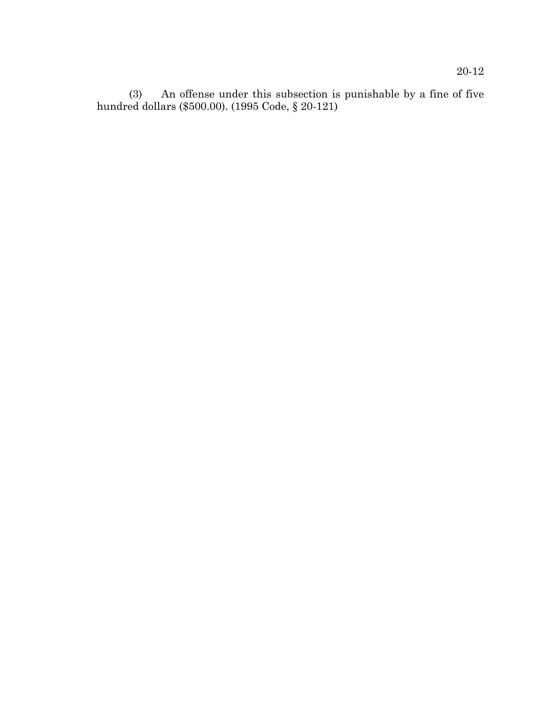(3) An offense under this subsection is punishable by a fine of five hundred dollars (\$500.00). (1995 Code, § 20-121)